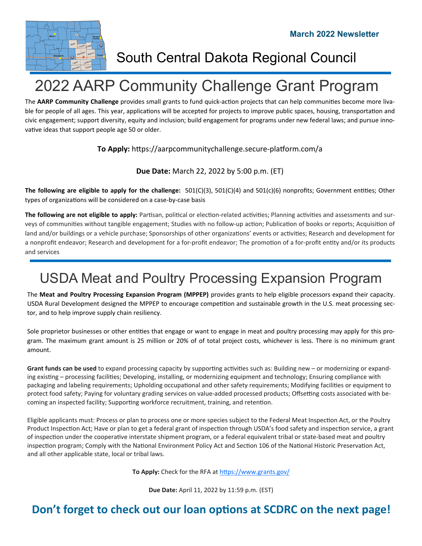**March 2022 Newsletter** 



South Central Dakota Regional Council

# 2022 AARP Community Challenge Grant Program

The AARP Community Challenge provides small grants to fund quick-action projects that can help communities become more livable for people of all ages. This year, applications will be accepted for projects to improve public spaces, housing, transportation and civic engagement; support diversity, equity and inclusion; build engagement for programs under new federal laws; and pursue inno‐ vative ideas that support people age 50 or older.

#### **To Apply:** https://aarpcommunitychallenge.secure-platform.com/a

**Due Date:** March 22, 2022 by 5:00 p.m. (ET)

**The following are eligible to apply for the challenge:**  $501(C)(3)$ ,  $501(C)(4)$  and  $501(c)(6)$  nonprofits; Government entities; Other types of organizations will be considered on a case-by-case basis

The following are not eligible to apply: Partisan, political or election-related activities; Planning activities and assessments and surveys of communities without tangible engagement; Studies with no follow-up action; Publication of books or reports; Acquisition of land and/or buildings or a vehicle purchase; Sponsorships of other organizations' events or activities; Research and development for a nonprofit endeavor; Research and development for a for-profit endeavor; The promotion of a for-profit entity and/or its products and services

## USDA Meat and Poultry Processing Expansion Program

The **Meat and Poultry Processing Expansion Program (MPPEP)** provides grants to help eligible processors expand their capacity. USDA Rural Development designed the MPPEP to encourage competition and sustainable growth in the U.S. meat processing sector, and to help improve supply chain resiliency.

Sole proprietor businesses or other entities that engage or want to engage in meat and poultry processing may apply for this program. The maximum grant amount is 25 million or 20% of of total project costs, whichever is less. There is no minimum grant amount.

Grant funds can be used to expand processing capacity by supporting activities such as: Building new – or modernizing or expanding existing – processing facilities; Developing, installing, or modernizing equipment and technology; Ensuring compliance with packaging and labeling requirements; Upholding occupational and other safety requirements; Modifying facilities or equipment to protect food safety; Paying for voluntary grading services on value-added processed products; Offsetting costs associated with becoming an inspected facility; Supporting workforce recruitment, training, and retention.

Eligible applicants must: Process or plan to process one or more species subject to the Federal Meat Inspection Act, or the Poultry Product Inspection Act; Have or plan to get a federal grant of inspection through USDA's food safety and inspection service, a grant of inspection under the cooperative interstate shipment program, or a federal equivalent tribal or state-based meat and poultry inspection program; Comply with the National Environment Policy Act and Section 106 of the National Historic Preservation Act, and all other applicable state, local or tribal laws.

To Apply: Check for the RFA at https://www.grants.gov/

**Due Date:** April 11, 2022 by 11:59 p.m. (EST)

## Don't forget to check out our loan options at SCDRC on the next page!